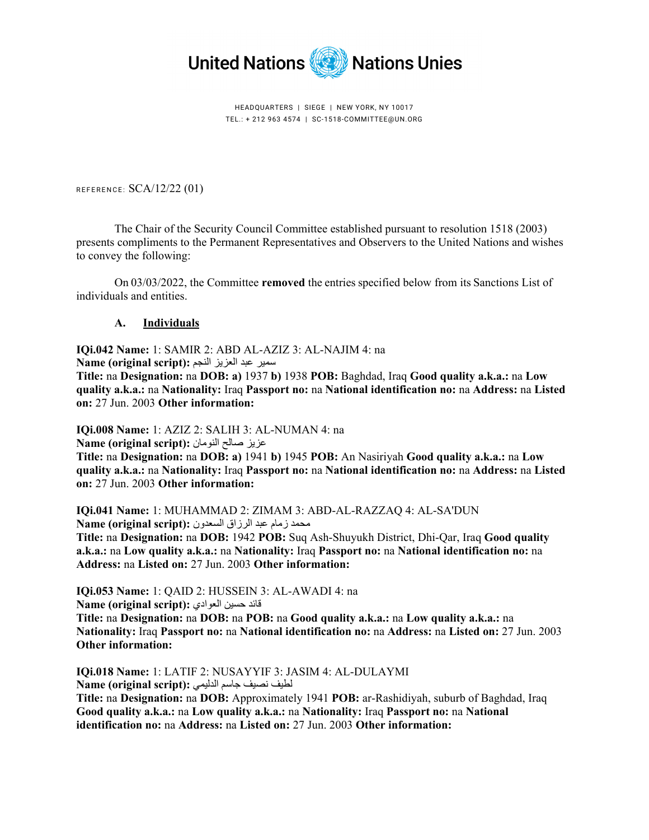

HEADQUARTERS | SIEGE | NEW YORK, NY 10017 TEL.: + 212 963 4574 | SC-1518-COMMITTEE@UN.ORG

REFERENCE: SCA/12/22 (01)

The Chair of the Security Council Committee established pursuant to resolution 1518 (2003) presents compliments to the Permanent Representatives and Observers to the United Nations and wishes to convey the following:

On 03/03/2022, the Committee **removed** the entries specified below from its Sanctions List of individuals and entities.

## **A. Individuals**

**IQi.042 Name:** 1: SAMIR 2: ABD AL-AZIZ 3: AL-NAJIM 4: na

سمير عبد العزيز النجم **:(script original (Name**

**Title:** na **Designation:** na **DOB: a)** 1937 **b)** 1938 **POB:** Baghdad, Iraq **Good quality a.k.a.:** na **Low quality a.k.a.:** na **Nationality:** Iraq **Passport no:** na **National identification no:** na **Address:** na **Listed on:** 27 Jun. 2003 **Other information:** 

**IQi.008 Name:** 1: AZIZ 2: SALIH 3: AL-NUMAN 4: na

عزيز صالح النومان **:(script original (Name**

**Title:** na **Designation:** na **DOB: a)** 1941 **b)** 1945 **POB:** An Nasiriyah **Good quality a.k.a.:** na **Low quality a.k.a.:** na **Nationality:** Iraq **Passport no:** na **National identification no:** na **Address:** na **Listed on:** 27 Jun. 2003 **Other information:** 

**IQi.041 Name:** 1: MUHAMMAD 2: ZIMAM 3: ABD-AL-RAZZAQ 4: AL-SA'DUN محمد زمام عبد الرزاق السعدون **:(script original (Name**

**Title:** na **Designation:** na **DOB:** 1942 **POB:** Suq Ash-Shuyukh District, Dhi-Qar, Iraq **Good quality a.k.a.:** na **Low quality a.k.a.:** na **Nationality:** Iraq **Passport no:** na **National identification no:** na **Address:** na **Listed on:** 27 Jun. 2003 **Other information:** 

**IQi.053 Name:** 1: QAID 2: HUSSEIN 3: AL-AWADI 4: na قائد حسين العوادي :(Name (original script

**Title:** na **Designation:** na **DOB:** na **POB:** na **Good quality a.k.a.:** na **Low quality a.k.a.:** na **Nationality:** Iraq **Passport no:** na **National identification no:** na **Address:** na **Listed on:** 27 Jun. 2003 **Other information:**

**IQi.018 Name:** 1: LATIF 2: NUSAYYIF 3: JASIM 4: AL-DULAYMI لطيف نصيف جاسم الدلي*مي* : Name (original script)

**Title:** na **Designation:** na **DOB:** Approximately 1941 **POB:** ar-Rashidiyah, suburb of Baghdad, Iraq **Good quality a.k.a.:** na **Low quality a.k.a.:** na **Nationality:** Iraq **Passport no:** na **National identification no:** na **Address:** na **Listed on:** 27 Jun. 2003 **Other information:**